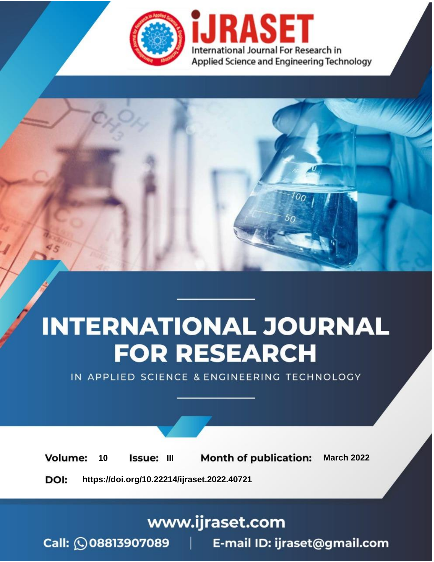

# **INTERNATIONAL JOURNAL FOR RESEARCH**

IN APPLIED SCIENCE & ENGINEERING TECHNOLOGY

**Month of publication: Volume:** 10 Issue: III **March 2022** DOI: https://doi.org/10.22214/ijraset.2022.40721

www.ijraset.com

Call: 008813907089 | E-mail ID: ijraset@gmail.com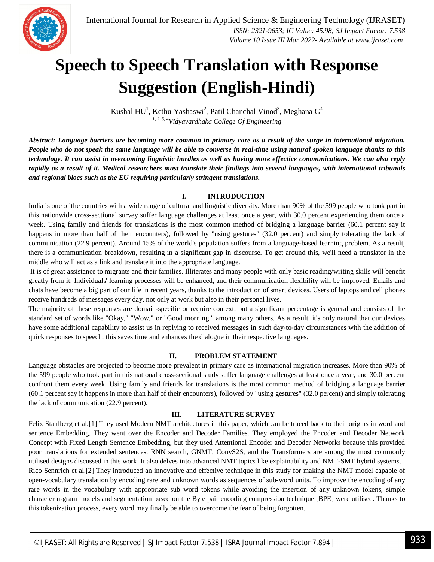

### **Speech to Speech Translation with Response Suggestion (English-Hindi)**

Kushal HU<sup>1</sup>, Kethu Yashaswi<sup>2</sup>, Patil Chanchal Vinod<sup>3</sup>, Meghana G<sup>4</sup> *1, 2, 3, 4Vidyavardhaka College Of Engineering*

*Abstract: Language barriers are becoming more common in primary care as a result of the surge in international migration. People who do not speak the same language will be able to converse in real-time using natural spoken language thanks to this technology. It can assist in overcoming linguistic hurdles as well as having more effective communications. We can also reply rapidly as a result of it. Medical researchers must translate their findings into several languages, with international tribunals and regional blocs such as the EU requiring particularly stringent translations.*

#### **I. INTRODUCTION**

India is one of the countries with a wide range of cultural and linguistic diversity. More than 90% of the 599 people who took part in this nationwide cross-sectional survey suffer language challenges at least once a year, with 30.0 percent experiencing them once a week. Using family and friends for translations is the most common method of bridging a language barrier (60.1 percent say it happens in more than half of their encounters), followed by "using gestures" (32.0 percent) and simply tolerating the lack of communication (22.9 percent). Around 15% of the world's population suffers from a language-based learning problem. As a result, there is a communication breakdown, resulting in a significant gap in discourse. To get around this, we'll need a translator in the middle who will act as a link and translate it into the appropriate language.

It is of great assistance to migrants and their families. Illiterates and many people with only basic reading/writing skills will benefit greatly from it. Individuals' learning processes will be enhanced, and their communication flexibility will be improved. Emails and chats have become a big part of our life in recent years, thanks to the introduction of smart devices. Users of laptops and cell phones receive hundreds of messages every day, not only at work but also in their personal lives.

The majority of these responses are domain-specific or require context, but a significant percentage is general and consists of the standard set of words like "Okay," "Wow," or "Good morning," among many others. As a result, it's only natural that our devices have some additional capability to assist us in replying to received messages in such day-to-day circumstances with the addition of quick responses to speech; this saves time and enhances the dialogue in their respective languages.

#### **II. PROBLEM STATEMENT**

Language obstacles are projected to become more prevalent in primary care as international migration increases. More than 90% of the 599 people who took part in this national cross-sectional study suffer language challenges at least once a year, and 30.0 percent confront them every week. Using family and friends for translations is the most common method of bridging a language barrier (60.1 percent say it happens in more than half of their encounters), followed by "using gestures" (32.0 percent) and simply tolerating the lack of communication (22.9 percent).

#### **III. LITERATURE SURVEY**

Felix Stahlberg et al.[1] They used Modern NMT architectures in this paper, which can be traced back to their origins in word and sentence Embedding. They went over the Encoder and Decoder Families. They employed the Encoder and Decoder Network Concept with Fixed Length Sentence Embedding, but they used Attentional Encoder and Decoder Networks because this provided poor translations for extended sentences. RNN search, GNMT, ConvS2S, and the Transformers are among the most commonly utilised designs discussed in this work. It also delves into advanced NMT topics like explainability and NMT-SMT hybrid systems.

Rico Sennrich et al.[2] They introduced an innovative and effective technique in this study for making the NMT model capable of open-vocabulary translation by encoding rare and unknown words as sequences of sub-word units. To improve the encoding of any rare words in the vocabulary with appropriate sub word tokens while avoiding the insertion of any unknown tokens, simple character n-gram models and segmentation based on the Byte pair encoding compression technique [BPE] were utilised. Thanks to this tokenization process, every word may finally be able to overcome the fear of being forgotten.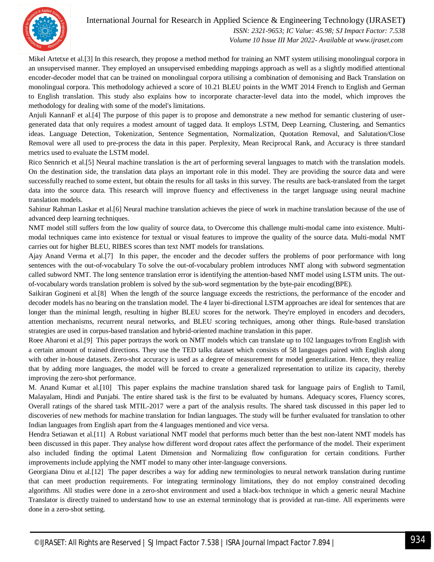

#### International Journal for Research in Applied Science & Engineering Technology (IJRASET**)**  *ISSN: 2321-9653; IC Value: 45.98; SJ Impact Factor: 7.538 Volume 10 Issue III Mar 2022- Available at www.ijraset.com*

Mikel Artetxe et al.[3] In this research, they propose a method method for training an NMT system utilising monolingual corpora in an unsupervised manner. They employed an unsupervised embedding mappings approach as well as a slightly modified attentional encoder-decoder model that can be trained on monolingual corpora utilising a combination of demonising and Back Translation on monolingual corpora. This methodology achieved a score of 10.21 BLEU points in the WMT 2014 French to English and German to English translation. This study also explains how to incorporate character-level data into the model, which improves the methodology for dealing with some of the model's limitations.

Anjuli KannanF et al.[4] The purpose of this paper is to propose and demonstrate a new method for semantic clustering of usergenerated data that only requires a modest amount of tagged data. It employs LSTM, Deep Learning, Clustering, and Semantics ideas. Language Detection, Tokenization, Sentence Segmentation, Normalization, Quotation Removal, and Salutation/Close Removal were all used to pre-process the data in this paper. Perplexity, Mean Reciprocal Rank, and Accuracy is three standard metrics used to evaluate the LSTM model.

Rico Sennrich et al.[5] Neural machine translation is the art of performing several languages to match with the translation models. On the destination side, the translation data plays an important role in this model. They are providing the source data and were successfully reached to some extent, but obtain the results for all tasks in this survey. The results are back-translated from the target data into the source data. This research will improve fluency and effectiveness in the target language using neural machine translation models.

Sahinur Rahman Laskar et al.[6] Neural machine translation achieves the piece of work in machine translation because of the use of advanced deep learning techniques.

NMT model still suffers from the low quality of source data, to Overcome this challenge multi-modal came into existence. Multimodal techniques came into existence for textual or visual features to improve the quality of the source data. Multi-modal NMT carries out for higher BLEU, RIBES scores than text NMT models for translations.

Ajay Anand Verma et al.[7] In this paper, the encoder and the decoder suffers the problems of poor performance with long sentences with the out-of-vocabulary To solve the out-of-vocabulary problem introduces NMT along with subword segmentation called subword NMT. The long sentence translation error is identifying the attention-based NMT model using LSTM units. The outof-vocabulary words translation problem is solved by the sub-word segmentation by the byte-pair encoding(BPE).

Saikiran Gogineni et al.[8] When the length of the source language exceeds the restrictions, the performance of the encoder and decoder models has no bearing on the translation model. The 4 layer bi-directional LSTM approaches are ideal for sentences that are longer than the minimal length, resulting in higher BLEU scores for the network. They're employed in encoders and decoders, attention mechanisms, recurrent neural networks, and BLEU scoring techniques, among other things. Rule-based translation strategies are used in corpus-based translation and hybrid-oriented machine translation in this paper.

Roee Aharoni et al.[9] This paper portrays the work on NMT models which can translate up to 102 languages to/from English with a certain amount of trained directions. They use the TED talks dataset which consists of 58 languages paired with English along with other in-house datasets. Zero-shot accuracy is used as a degree of measurement for model generalization. Hence, they realize that by adding more languages, the model will be forced to create a generalized representation to utilize its capacity, thereby improving the zero-shot performance.

M. Anand Kumar et al.[10] This paper explains the machine translation shared task for language pairs of English to Tamil, Malayalam, Hindi and Punjabi. The entire shared task is the first to be evaluated by humans. Adequacy scores, Fluency scores, Overall ratings of the shared task MTIL-2017 were a part of the analysis results. The shared task discussed in this paper led to discoveries of new methods for machine translation for Indian languages. The study will be further evaluated for translation to other Indian languages from English apart from the 4 languages mentioned and vice versa.

Hendra Setiawan et al.[11] A Robust variational NMT model that performs much better than the best non-latent NMT models has been discussed in this paper. They analyse how different word dropout rates affect the performance of the model. Their experiment also included finding the optimal Latent Dimension and Normalizing flow configuration for certain conditions. Further improvements include applying the NMT model to many other inter-language conversions.

Georgiana Dinu et al.[12] The paper describes a way for adding new terminologies to neural network translation during runtime that can meet production requirements. For integrating terminology limitations, they do not employ constrained decoding algorithms. All studies were done in a zero-shot environment and used a black-box technique in which a generic neural Machine Translator is directly trained to understand how to use an external terminology that is provided at run-time. All experiments were done in a zero-shot setting.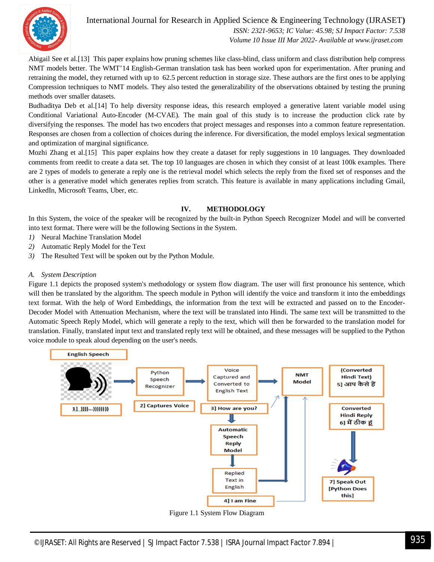

#### International Journal for Research in Applied Science & Engineering Technology (IJRASET**)**  *ISSN: 2321-9653; IC Value: 45.98; SJ Impact Factor: 7.538 Volume 10 Issue III Mar 2022- Available at www.ijraset.com*

Abigail See et al.[13] This paper explains how pruning schemes like class-blind, class uniform and class distribution help compress NMT models better. The WMT'14 English-German translation task has been worked upon for experimentation. After pruning and retraining the model, they returned with up to 62.5 percent reduction in storage size. These authors are the first ones to be applying Compression techniques to NMT models. They also tested the generalizability of the observations obtained by testing the pruning methods over smaller datasets.

Budhaditya Deb et al.[14] To help diversity response ideas, this research employed a generative latent variable model using Conditional Variational Auto-Encoder (M-CVAE). The main goal of this study is to increase the production click rate by diversifying the responses. The model has two encoders that project messages and responses into a common feature representation. Responses are chosen from a collection of choices during the inference. For diversification, the model employs lexical segmentation and optimization of marginal significance.

Mozhi Zhang et al.[15] This paper explains how they create a dataset for reply suggestions in 10 languages. They downloaded comments from reedit to create a data set. The top 10 languages are chosen in which they consist of at least 100k examples. There are 2 types of models to generate a reply one is the retrieval model which selects the reply from the fixed set of responses and the other is a generative model which generates replies from scratch. This feature is available in many applications including Gmail, LinkedIn, Microsoft Teams, Uber, etc.

#### **IV. METHODOLOGY**

In this System, the voice of the speaker will be recognized by the built-in Python Speech Recognizer Model and will be converted into text format. There were will be the following Sections in the System.

- *1)* Neural Machine Translation Model
- *2)* Automatic Reply Model for the Text
- *3)* The Resulted Text will be spoken out by the Python Module.

#### *A. System Description*

Figure 1.1 depicts the proposed system's methodology or system flow diagram. The user will first pronounce his sentence, which will then be translated by the algorithm. The speech module in Python will identify the voice and transform it into the embeddings text format. With the help of Word Embeddings, the information from the text will be extracted and passed on to the Encoder-Decoder Model with Attenuation Mechanism, where the text will be translated into Hindi. The same text will be transmitted to the Automatic Speech Reply Model, which will generate a reply to the text, which will then be forwarded to the translation model for translation. Finally, translated input text and translated reply text will be obtained, and these messages will be supplied to the Python voice module to speak aloud depending on the user's needs.



Figure 1.1 System Flow Diagram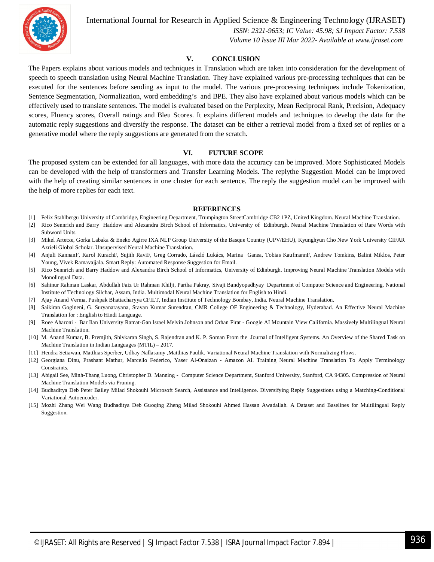

International Journal for Research in Applied Science & Engineering Technology (IJRASET**)**

 *ISSN: 2321-9653; IC Value: 45.98; SJ Impact Factor: 7.538 Volume 10 Issue III Mar 2022- Available at www.ijraset.com*

#### **V. CONCLUSION**

The Papers explains about various models and techniques in Translation which are taken into consideration for the development of speech to speech translation using Neural Machine Translation. They have explained various pre-processing techniques that can be executed for the sentences before sending as input to the model. The various pre-processing techniques include Tokenization, Sentence Segmentation, Normalization, word embedding's and BPE. They also have explained about various models which can be effectively used to translate sentences. The model is evaluated based on the Perplexity, Mean Reciprocal Rank, Precision, Adequacy scores, Fluency scores, Overall ratings and Bleu Scores. It explains different models and techniques to develop the data for the automatic reply suggestions and diversify the response. The dataset can be either a retrieval model from a fixed set of replies or a generative model where the reply suggestions are generated from the scratch.

#### **VI. FUTURE SCOPE**

The proposed system can be extended for all languages, with more data the accuracy can be improved. More Sophisticated Models can be developed with the help of transformers and Transfer Learning Models. The replythe Suggestion Model can be improved with the help of creating similar sentences in one cluster for each sentence. The reply the suggestion model can be improved with the help of more replies for each text.

#### **REFERENCES**

- [1] Felix Stahlbergu University of Cambridge, Engineering Department, Trumpington StreetCambridge CB2 1PZ, United Kingdom. Neural Machine Translation.
- [2] Rico Sennrich and Barry Haddow and Alexandra Birch School of Informatics, University of Edinburgh. Neural Machine Translation of Rare Words with Subword Units.
- [3] Mikel Artetxe, Gorka Labaka & Eneko Agirre IXA NLP Group University of the Basque Country (UPV/EHU), Kyunghyun Cho New York University CIFAR Azrieli Global Scholar. Unsupervised Neural Machine Translation.
- [4] Anjuli KannanF, Karol KurachF, Sujith RaviF, Greg Corrado, László Lukács, Marina Ganea, Tobias KaufmannF, Andrew Tomkins, Balint Miklos, Peter Young, Vivek Ramavajjala. Smart Reply: Automated Response Suggestion for Email.
- [5] Rico Sennrich and Barry Haddow and Alexandra Birch School of Informatics, University of Edinburgh. Improving Neural Machine Translation Models with Monolingual Data.
- [6] Sahinur Rahman Laskar, Abdullah Faiz Ur Rahman Khilji, Partha Pakray, Sivaji Bandyopadhyay Department of Computer Science and Engineering, National Institute of Technology Silchar, Assam, India. Multimodal Neural Machine Translation for English to Hindi.
- [7] Ajay Anand Verma, Pushpak Bhattacharyya CFILT, Indian Institute of Technology Bombay, India. Neural Machine Translation.
- [8] Saikiran Gogineni, G. Suryanarayana, Sravan Kumar Surendran, CMR College OF Engineering & Technology, Hyderabad. An Effective Neural Machine Translation for : English to Hindi Language.
- [9] Roee Aharoni Bar Ilan University Ramat-Gan Israel Melvin Johnson and Orhan Firat Google AI Mountain View California. Massively Multilingual Neural Machine Translation.
- [10] M. Anand Kumar, B. Premjith, Shivkaran Singh, S. Rajendran and K. P. Soman From the Journal of Intelligent Systems. An Overview of the Shared Task on Machine Translation in Indian Languages (MTIL) – 2017.
- [11] Hendra Setiawan, Matthias Sperber, Udhay Nallasamy ,Matthias Paulik. Variational Neural Machine Translation with Normalizing Flows.
- [12] Georgiana Dinu, Prashant Mathur, Marcello Federico, Yaser Al-Onaizan Amazon AI. Training Neural Machine Translation To Apply Terminology Constraints.
- [13] Abigail See, Minh-Thang Luong, Christopher D. Manning Computer Science Department, Stanford University, Stanford, CA 94305. Compression of Neural Machine Translation Models via Pruning.
- [14] Budhaditya Deb Peter Bailey Milad Shokouhi Microsoft Search, Assistance and Intelligence. Diversifying Reply Suggestions using a Matching-Conditional Variational Autoencoder.
- [15] Mozhi Zhang Wei Wang Budhaditya Deb Guoqing Zheng Milad Shokouhi Ahmed Hassan Awadallah. A Dataset and Baselines for Multilingual Reply Suggestion.